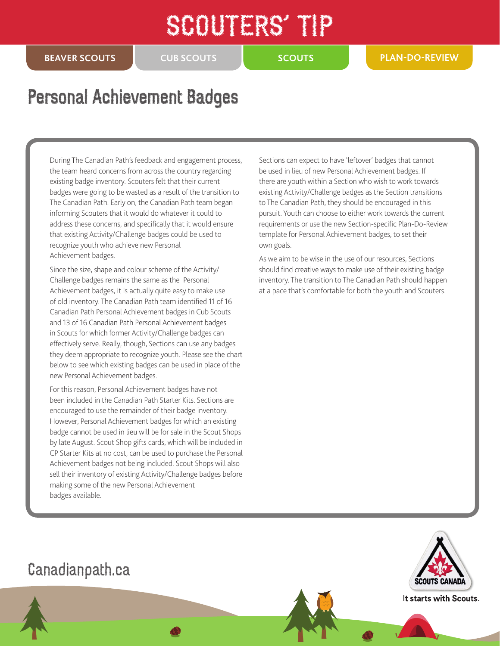## SCOUTERS' TR

**CUB SCOUTS**

## Personal Achievement Badges

During The Canadian Path's feedback and engagement process, the team heard concerns from across the country regarding existing badge inventory. Scouters felt that their current badges were going to be wasted as a result of the transition to The Canadian Path. Early on, the Canadian Path team began informing Scouters that it would do whatever it could to address these concerns, and specifically that it would ensure that existing Activity/Challenge badges could be used to recognize youth who achieve new Personal Achievement badges.

Since the size, shape and colour scheme of the Activity/ Challenge badges remains the same as the Personal Achievement badges, it is actually quite easy to make use of old inventory. The Canadian Path team identified 11 of 16 Canadian Path Personal Achievement badges in Cub Scouts and 13 of 16 Canadian Path Personal Achievement badges in Scouts for which former Activity/Challenge badges can effectively serve. Really, though, Sections can use any badges they deem appropriate to recognize youth. Please see the chart below to see which existing badges can be used in place of the new Personal Achievement badges.

For this reason, Personal Achievement badges have not been included in the Canadian Path Starter Kits. Sections are encouraged to use the remainder of their badge inventory. However, Personal Achievement badges for which an existing badge cannot be used in lieu will be for sale in the Scout Shops by late August. Scout Shop gifts cards, which will be included in CP Starter Kits at no cost, can be used to purchase the Personal Achievement badges not being included. Scout Shops will also sell their inventory of existing Activity/Challenge badges before making some of the new Personal Achievement badges available.

Sections can expect to have 'leftover' badges that cannot be used in lieu of new Personal Achievement badges. If there are youth within a Section who wish to work towards existing Activity/Challenge badges as the Section transitions to The Canadian Path, they should be encouraged in this pursuit. Youth can choose to either work towards the current requirements or use the new Section-specific Plan-Do-Review template for Personal Achievement badges, to set their own goals.

As we aim to be wise in the use of our resources, Sections should find creative ways to make use of their existing badge inventory. The transition to The Canadian Path should happen at a pace that's comfortable for both the youth and Scouters.

## Canadianpath.ca



It starts with Scouts